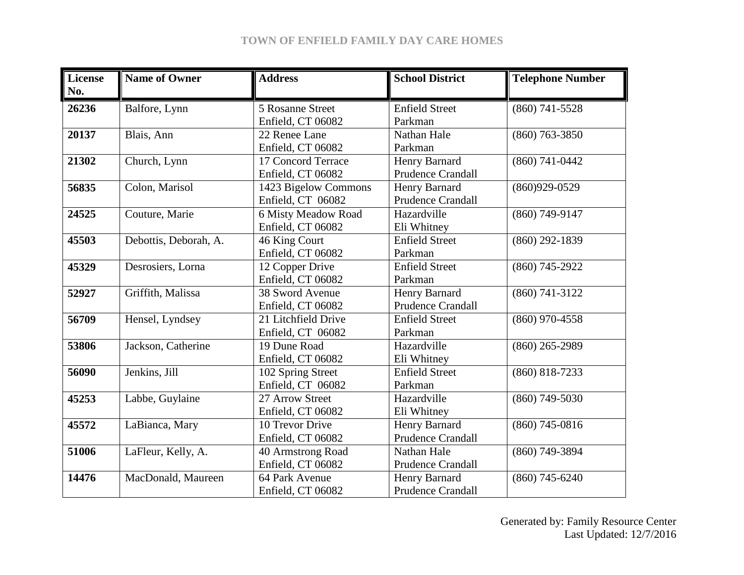## **TOWN OF ENFIELD FAMILY DAY CARE HOMES**

| <b>License</b><br>No. | <b>Name of Owner</b>  | <b>Address</b>       | <b>School District</b>   | <b>Telephone Number</b> |
|-----------------------|-----------------------|----------------------|--------------------------|-------------------------|
| 26236                 | Balfore, Lynn         | 5 Rosanne Street     | <b>Enfield Street</b>    | $(860)$ 741-5528        |
|                       |                       | Enfield, CT 06082    | Parkman                  |                         |
| 20137                 | Blais, Ann            | 22 Renee Lane        | Nathan Hale              | $(860)$ 763-3850        |
|                       |                       | Enfield, CT 06082    | Parkman                  |                         |
| 21302                 | Church, Lynn          | 17 Concord Terrace   | Henry Barnard            | $(860)$ 741-0442        |
|                       |                       | Enfield, CT 06082    | <b>Prudence Crandall</b> |                         |
| 56835                 | Colon, Marisol        | 1423 Bigelow Commons | Henry Barnard            | $(860)929-0529$         |
|                       |                       | Enfield, CT 06082    | <b>Prudence Crandall</b> |                         |
| 24525                 | Couture, Marie        | 6 Misty Meadow Road  | Hazardville              | $(860)$ 749-9147        |
|                       |                       | Enfield, CT 06082    | Eli Whitney              |                         |
| 45503                 | Debottis, Deborah, A. | 46 King Court        | <b>Enfield Street</b>    | $(860)$ 292-1839        |
|                       |                       | Enfield, CT 06082    | Parkman                  |                         |
| 45329                 | Desrosiers, Lorna     | 12 Copper Drive      | <b>Enfield Street</b>    | $(860)$ 745-2922        |
|                       |                       | Enfield, CT 06082    | Parkman                  |                         |
| 52927                 | Griffith, Malissa     | 38 Sword Avenue      | Henry Barnard            | $(860)$ 741-3122        |
|                       |                       | Enfield, CT 06082    | <b>Prudence Crandall</b> |                         |
| 56709                 | Hensel, Lyndsey       | 21 Litchfield Drive  | <b>Enfield Street</b>    | $(860)$ 970-4558        |
|                       |                       | Enfield, CT 06082    | Parkman                  |                         |
| 53806                 | Jackson, Catherine    | 19 Dune Road         | Hazardville              | $(860)$ 265-2989        |
|                       |                       | Enfield, CT 06082    | Eli Whitney              |                         |
| 56090                 | Jenkins, Jill         | 102 Spring Street    | <b>Enfield Street</b>    | $(860) 818 - 7233$      |
|                       |                       | Enfield, CT 06082    | Parkman                  |                         |
| 45253                 | Labbe, Guylaine       | 27 Arrow Street      | Hazardville              | $(860)$ 749-5030        |
|                       |                       | Enfield, CT 06082    | Eli Whitney              |                         |
| 45572                 | LaBianca, Mary        | 10 Trevor Drive      | Henry Barnard            | $(860)$ 745-0816        |
|                       |                       | Enfield, CT 06082    | <b>Prudence Crandall</b> |                         |
| 51006                 | LaFleur, Kelly, A.    | 40 Armstrong Road    | Nathan Hale              | $(860)$ 749-3894        |
|                       |                       | Enfield, CT 06082    | <b>Prudence Crandall</b> |                         |
| 14476                 | MacDonald, Maureen    | 64 Park Avenue       | Henry Barnard            | $(860)$ 745-6240        |
|                       |                       | Enfield, CT 06082    | <b>Prudence Crandall</b> |                         |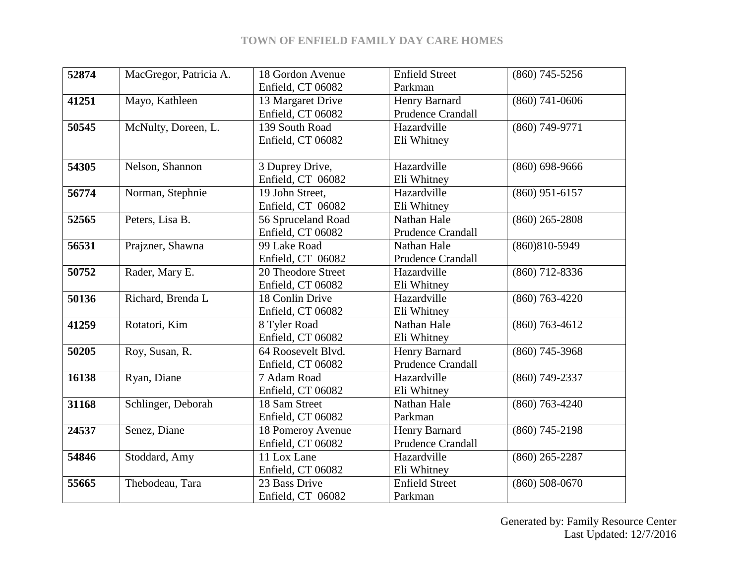## **TOWN OF ENFIELD FAMILY DAY CARE HOMES**

| 52874 | MacGregor, Patricia A. | 18 Gordon Avenue   | <b>Enfield Street</b>    | $(860)$ 745-5256  |
|-------|------------------------|--------------------|--------------------------|-------------------|
|       |                        | Enfield, CT 06082  | Parkman                  |                   |
| 41251 | Mayo, Kathleen         | 13 Margaret Drive  | Henry Barnard            | $(860)$ 741-0606  |
|       |                        | Enfield, CT 06082  | <b>Prudence Crandall</b> |                   |
| 50545 | McNulty, Doreen, L.    | 139 South Road     | Hazardville              | $(860)$ 749-9771  |
|       |                        | Enfield, CT 06082  | Eli Whitney              |                   |
|       |                        |                    |                          |                   |
| 54305 | Nelson, Shannon        | 3 Duprey Drive,    | Hazardville              | $(860)$ 698-9666  |
|       |                        | Enfield, CT 06082  | Eli Whitney              |                   |
| 56774 | Norman, Stephnie       | 19 John Street,    | Hazardville              | $(860)$ 951-6157  |
|       |                        | Enfield, CT 06082  | Eli Whitney              |                   |
| 52565 | Peters, Lisa B.        | 56 Spruceland Road | Nathan Hale              | $(860)$ 265-2808  |
|       |                        | Enfield, CT 06082  | <b>Prudence Crandall</b> |                   |
| 56531 | Prajzner, Shawna       | 99 Lake Road       | Nathan Hale              | $(860)810 - 5949$ |
|       |                        | Enfield, CT 06082  | <b>Prudence Crandall</b> |                   |
| 50752 | Rader, Mary E.         | 20 Theodore Street | Hazardville              | $(860)$ 712-8336  |
|       |                        | Enfield, CT 06082  | Eli Whitney              |                   |
| 50136 | Richard, Brenda L      | 18 Conlin Drive    | Hazardville              | $(860)$ 763-4220  |
|       |                        | Enfield, CT 06082  | Eli Whitney              |                   |
| 41259 | Rotatori, Kim          | 8 Tyler Road       | Nathan Hale              | $(860)$ 763-4612  |
|       |                        | Enfield, CT 06082  | Eli Whitney              |                   |
| 50205 | Roy, Susan, R.         | 64 Roosevelt Blvd. | Henry Barnard            | $(860)$ 745-3968  |
|       |                        | Enfield, CT 06082  | <b>Prudence Crandall</b> |                   |
| 16138 | Ryan, Diane            | 7 Adam Road        | Hazardville              | $(860)$ 749-2337  |
|       |                        | Enfield, CT 06082  | Eli Whitney              |                   |
| 31168 | Schlinger, Deborah     | 18 Sam Street      | Nathan Hale              | $(860)$ 763-4240  |
|       |                        | Enfield, CT 06082  | Parkman                  |                   |
| 24537 | Senez, Diane           | 18 Pomeroy Avenue  | Henry Barnard            | $(860)$ 745-2198  |
|       |                        | Enfield, CT 06082  | <b>Prudence Crandall</b> |                   |
| 54846 | Stoddard, Amy          | 11 Lox Lane        | Hazardville              | $(860)$ 265-2287  |
|       |                        | Enfield, CT 06082  | Eli Whitney              |                   |
| 55665 | Thebodeau, Tara        | 23 Bass Drive      | <b>Enfield Street</b>    | $(860)$ 508-0670  |
|       |                        | Enfield, CT 06082  | Parkman                  |                   |